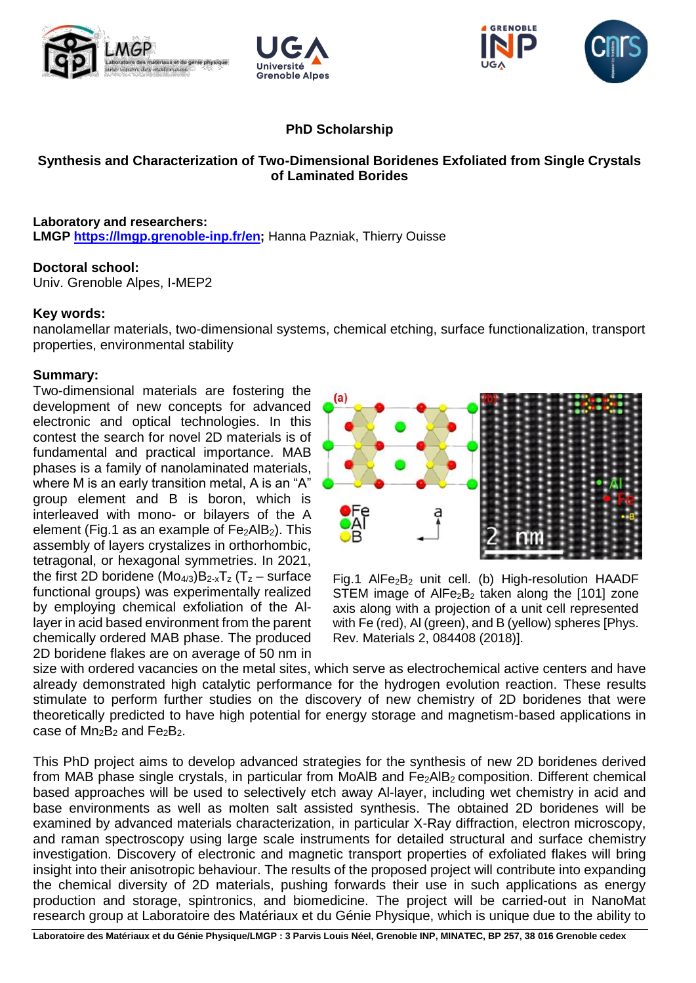





# **PhD Scholarship**

## **Synthesis and Characterization of Two-Dimensional Boridenes Exfoliated from Single Crystals of Laminated Borides**

**Laboratory and researchers: LMGP [https://lmgp.grenoble-inp.fr/en;](https://lmgp.grenoble-inp.fr/en)** Hanna Pazniak, Thierry Ouisse

## **Doctoral school:**

Univ. Grenoble Alpes, I-MEP2

#### **Key words:**

nanolamellar materials, two-dimensional systems, chemical etching, surface functionalization, transport properties, environmental stability

## **Summary:**

Two-dimensional materials are fostering the development of new concepts for advanced electronic and optical technologies. In this contest the search for novel 2D materials is of fundamental and practical importance. MAB phases is a family of nanolaminated materials, where M is an early transition metal, A is an "A" group element and B is boron, which is interleaved with mono- or bilayers of the A element (Fig.1 as an example of  $Fe<sub>2</sub>AIB<sub>2</sub>$ ). This assembly of layers crystalizes in orthorhombic, tetragonal, or hexagonal symmetries. In 2021, the first 2D boridene ( $Mo<sub>4/3</sub>$ ) $B<sub>2-x</sub>T<sub>z</sub>$  (T<sub>z</sub> – surface functional groups) was experimentally realized by employing chemical exfoliation of the Allayer in acid based environment from the parent chemically ordered MAB phase. The produced 2D boridene flakes are on average of 50 nm in



Fig.1 AlFe $_2$ B<sub>2</sub> unit cell. (b) High-resolution HAADF STEM image of  $AIFe<sub>2</sub>B<sub>2</sub>$  taken along the [101] zone axis along with a projection of a unit cell represented with Fe (red), Al (green), and B (yellow) spheres [Phys. Rev. Materials 2, 084408 (2018)].

size with ordered vacancies on the metal sites, which serve as electrochemical active centers and have already demonstrated high catalytic performance for the hydrogen evolution reaction. These results stimulate to perform further studies on the discovery of new chemistry of 2D boridenes that were theoretically predicted to have high potential for energy storage and magnetism-based applications in case of  $Mn_2B_2$  and  $Fe_2B_2$ .

This PhD project aims to develop advanced strategies for the synthesis of new 2D boridenes derived from MAB phase single crystals, in particular from MoAIB and Fe<sub>2</sub>AIB<sub>2</sub> composition. Different chemical based approaches will be used to selectively etch away Al-layer, including wet chemistry in acid and base environments as well as molten salt assisted synthesis. The obtained 2D boridenes will be examined by advanced materials characterization, in particular X-Ray diffraction, electron microscopy, and raman spectroscopy using large scale instruments for detailed structural and surface chemistry investigation. Discovery of electronic and magnetic transport properties of exfoliated flakes will bring insight into their anisotropic behaviour. The results of the proposed project will contribute into expanding the chemical diversity of 2D materials, pushing forwards their use in such applications as energy production and storage, spintronics, and biomedicine. The project will be carried-out in NanoMat research group at Laboratoire des Matériaux et du Génie Physique, which is unique due to the ability to

**Laboratoire des Matériaux et du Génie Physique/LMGP : 3 Parvis Louis Néel, Grenoble INP, MINATEC, BP 257, 38 016 Grenoble cedex**